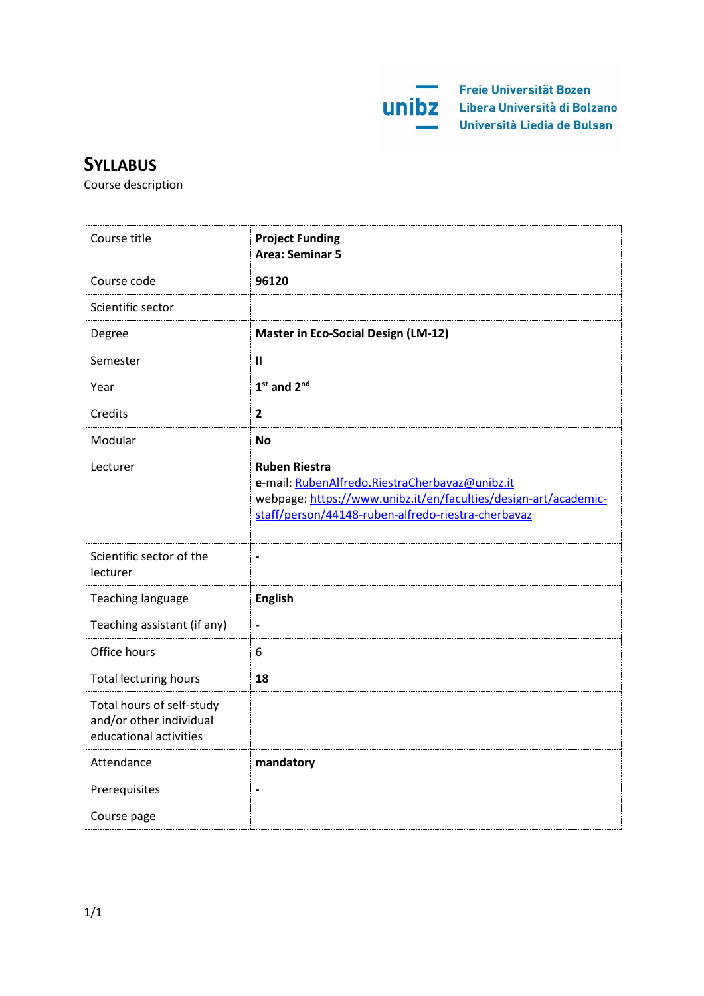

# **SYLLABUS**

Course description

| Course title                                                                   | <b>Project Funding</b><br><b>Area: Seminar 5</b>                                                                                                                                                |
|--------------------------------------------------------------------------------|-------------------------------------------------------------------------------------------------------------------------------------------------------------------------------------------------|
| Course code                                                                    | 96120                                                                                                                                                                                           |
| Scientific sector                                                              |                                                                                                                                                                                                 |
| Degree                                                                         | <b>Master in Eco-Social Design (LM-12)</b>                                                                                                                                                      |
| Semester                                                                       | $\mathbf{I}$                                                                                                                                                                                    |
| Year                                                                           | $1st$ and $2nd$                                                                                                                                                                                 |
| Credits                                                                        | 2                                                                                                                                                                                               |
| Modular                                                                        | <b>No</b>                                                                                                                                                                                       |
| Lecturer                                                                       | <b>Ruben Riestra</b><br>e-mail: RubenAlfredo.RiestraCherbavaz@unibz.it<br>webpage: https://www.unibz.it/en/faculties/design-art/academic-<br>staff/person/44148-ruben-alfredo-riestra-cherbavaz |
| Scientific sector of the<br>lecturer                                           |                                                                                                                                                                                                 |
| Teaching language                                                              | <b>English</b>                                                                                                                                                                                  |
| Teaching assistant (if any)                                                    | $\overline{\phantom{0}}$                                                                                                                                                                        |
| Office hours                                                                   | 6                                                                                                                                                                                               |
| <b>Total lecturing hours</b>                                                   | 18                                                                                                                                                                                              |
| Total hours of self-study<br>and/or other individual<br>educational activities |                                                                                                                                                                                                 |
| Attendance                                                                     | mandatory                                                                                                                                                                                       |
| Prerequisites                                                                  |                                                                                                                                                                                                 |
| Course page                                                                    |                                                                                                                                                                                                 |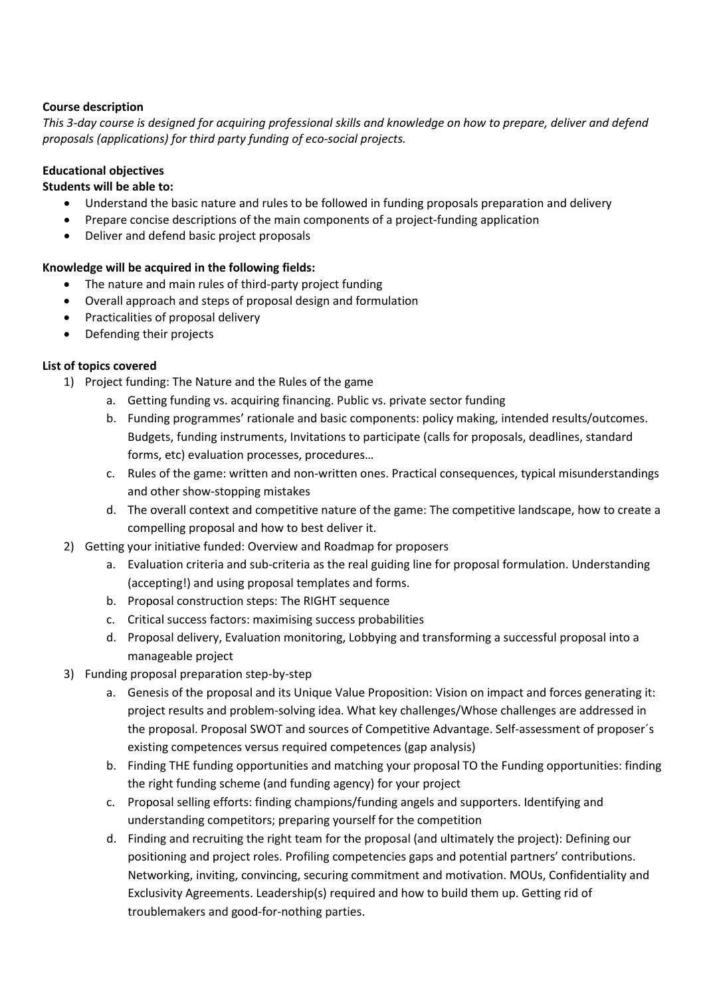### **Course description**

This 3-day course is designed for acquiring professional skills and knowledge on how to prepare, deliver and defend *proposals (applications) for third party funding of eco-social projects.*

## **Educational objectives**

## **Students will be able to:**

- Understand the basic nature and rules to be followed in funding proposals preparation and delivery
- Prepare concise descriptions of the main components of a project-funding application
- Deliver and defend basic project proposals

### **Knowledge will be acquired in the following fields:**

- The nature and main rules of third-party project funding
- Overall approach and steps of proposal design and formulation
- Practicalities of proposal delivery
- Defending their projects

### **List of topics covered**

- 1) Project funding: The Nature and the Rules of the game
	- a. Getting funding vs. acquiring financing. Public vs. private sector funding
	- b. Funding programmes' rationale and basic components: policy making, intended results/outcomes. Budgets, funding instruments, Invitations to participate (calls for proposals, deadlines, standard forms, etc) evaluation processes, procedures…
	- c. Rules of the game: written and non-written ones. Practical consequences, typical misunderstandings and other show-stopping mistakes
	- d. The overall context and competitive nature of the game: The competitive landscape, how to create a compelling proposal and how to best deliver it.
- 2) Getting your initiative funded: Overview and Roadmap for proposers
	- a. Evaluation criteria and sub-criteria as the real guiding line for proposal formulation. Understanding (accepting!) and using proposal templates and forms.
	- b. Proposal construction steps: The RIGHT sequence
	- c. Critical success factors: maximising success probabilities
	- d. Proposal delivery, Evaluation monitoring, Lobbying and transforming a successful proposal into a manageable project
- 3) Funding proposal preparation step-by-step
	- a. Genesis of the proposal and its Unique Value Proposition: Vision on impact and forces generating it: project results and problem-solving idea. What key challenges/Whose challenges are addressed in the proposal. Proposal SWOT and sources of Competitive Advantage. Self-assessment of proposer´s existing competences versus required competences (gap analysis)
	- b. Finding THE funding opportunities and matching your proposal TO the Funding opportunities: finding the right funding scheme (and funding agency) for your project
	- c. Proposal selling efforts: finding champions/funding angels and supporters. Identifying and understanding competitors; preparing yourself for the competition
	- d. Finding and recruiting the right team for the proposal (and ultimately the project): Defining our positioning and project roles. Profiling competencies gaps and potential partners' contributions. Networking, inviting, convincing, securing commitment and motivation. MOUs, Confidentiality and Exclusivity Agreements. Leadership(s) required and how to build them up. Getting rid of troublemakers and good-for-nothing parties.